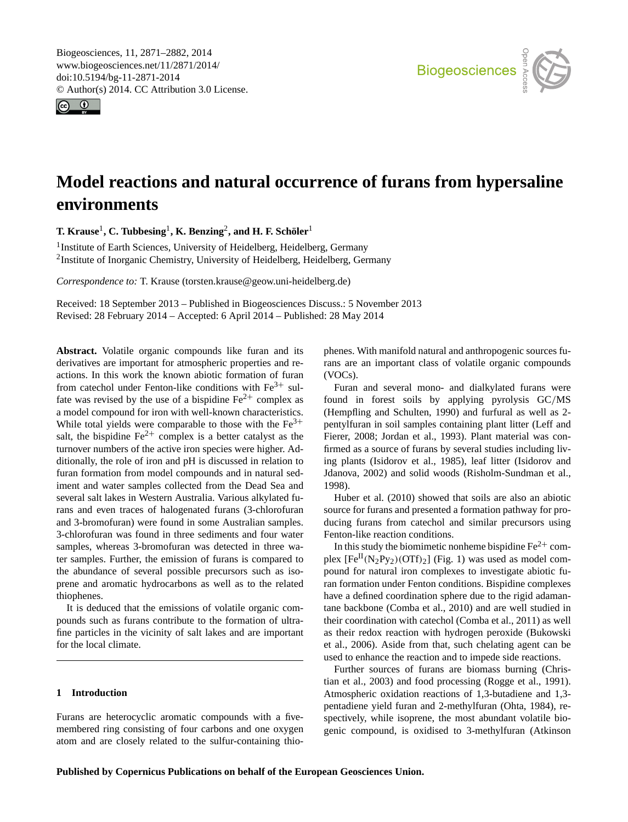<span id="page-0-0"></span>Biogeosciences, 11, 2871–2882, 2014 www.biogeosciences.net/11/2871/2014/ doi:10.5194/bg-11-2871-2014 © Author(s) 2014. CC Attribution 3.0 License.





# **Model reactions and natural occurrence of furans from hypersaline environments**

 $\bf{T}.$  **Krause** $^1$ **, C. Tubbesing** $^1$ **, K. Benzing** $^2$ **, and H. F. Schöler** $^1$ 

<sup>1</sup> Institute of Earth Sciences, University of Heidelberg, Heidelberg, Germany <sup>2</sup>Institute of Inorganic Chemistry, University of Heidelberg, Heidelberg, Germany

*Correspondence to:* T. Krause (torsten.krause@geow.uni-heidelberg.de)

Received: 18 September 2013 – Published in Biogeosciences Discuss.: 5 November 2013 Revised: 28 February 2014 – Accepted: 6 April 2014 – Published: 28 May 2014

**Abstract.** Volatile organic compounds like furan and its derivatives are important for atmospheric properties and reactions. In this work the known abiotic formation of furan from catechol under Fenton-like conditions with  $Fe<sup>3+</sup>$  sulfate was revised by the use of a bispidine  $Fe^{2+}$  complex as a model compound for iron with well-known characteristics. While total yields were comparable to those with the  $Fe<sup>3+</sup>$ salt, the bispidine  $Fe^{2+}$  complex is a better catalyst as the turnover numbers of the active iron species were higher. Additionally, the role of iron and pH is discussed in relation to furan formation from model compounds and in natural sediment and water samples collected from the Dead Sea and several salt lakes in Western Australia. Various alkylated furans and even traces of halogenated furans (3-chlorofuran and 3-bromofuran) were found in some Australian samples. 3-chlorofuran was found in three sediments and four water samples, whereas 3-bromofuran was detected in three water samples. Further, the emission of furans is compared to the abundance of several possible precursors such as isoprene and aromatic hydrocarbons as well as to the related thiophenes.

It is deduced that the emissions of volatile organic compounds such as furans contribute to the formation of ultrafine particles in the vicinity of salt lakes and are important for the local climate.

# **1 Introduction**

Furans are heterocyclic aromatic compounds with a fivemembered ring consisting of four carbons and one oxygen atom and are closely related to the sulfur-containing thiophenes. With manifold natural and anthropogenic sources furans are an important class of volatile organic compounds (VOCs).

Furan and several mono- and dialkylated furans were found in forest soils by applying pyrolysis GC/MS (Hempfling and Schulten, 1990) and furfural as well as 2 pentylfuran in soil samples containing plant litter (Leff and Fierer, 2008; Jordan et al., 1993). Plant material was confirmed as a source of furans by several studies including living plants (Isidorov et al., 1985), leaf litter (Isidorov and Jdanova, 2002) and solid woods (Risholm-Sundman et al., 1998).

Huber et al. (2010) showed that soils are also an abiotic source for furans and presented a formation pathway for producing furans from catechol and similar precursors using Fenton-like reaction conditions.

In this study the biomimetic nonheme bispidine  $Fe<sup>2+</sup>$  complex  $[Fe^{II}(N_2Py_2)(OTf)_2]$  (Fig. 1) was used as model compound for natural iron complexes to investigate abiotic furan formation under Fenton conditions. Bispidine complexes have a defined coordination sphere due to the rigid adamantane backbone (Comba et al., 2010) and are well studied in their coordination with catechol (Comba et al., 2011) as well as their redox reaction with hydrogen peroxide (Bukowski et al., 2006). Aside from that, such chelating agent can be used to enhance the reaction and to impede side reactions.

Further sources of furans are biomass burning (Christian et al., 2003) and food processing (Rogge et al., 1991). Atmospheric oxidation reactions of 1,3-butadiene and 1,3 pentadiene yield furan and 2-methylfuran (Ohta, 1984), respectively, while isoprene, the most abundant volatile biogenic compound, is oxidised to 3-methylfuran (Atkinson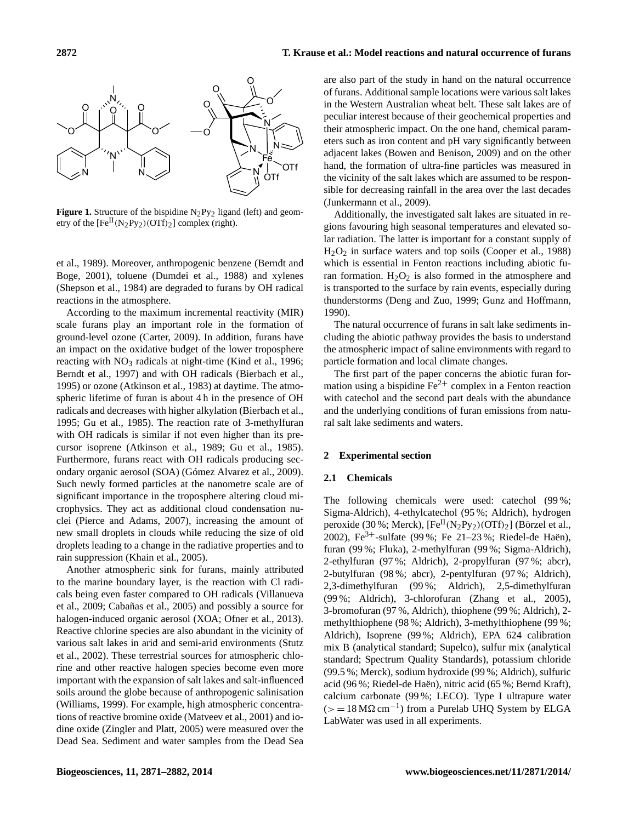

**Figure 1.** Structure of the bispidine  $N_2Py_2$  ligand (left) and geometry of the  $[Fe^{II}(N_2Py_2)(OTf)_2]$  complex (right).

et al., 1989). Moreover, anthropogenic benzene (Berndt and Boge, 2001), toluene (Dumdei et al., 1988) and xylenes (Shepson et al., 1984) are degraded to furans by OH radical reactions in the atmosphere.

According to the maximum incremental reactivity (MIR) scale furans play an important role in the formation of ground-level ozone (Carter, 2009). In addition, furans have an impact on the oxidative budget of the lower troposphere reacting with  $NO<sub>3</sub>$  radicals at night-time (Kind et al., 1996; Berndt et al., 1997) and with OH radicals (Bierbach et al., 1995) or ozone (Atkinson et al., 1983) at daytime. The atmospheric lifetime of furan is about 4 h in the presence of OH radicals and decreases with higher alkylation (Bierbach et al., 1995; Gu et al., 1985). The reaction rate of 3-methylfuran with OH radicals is similar if not even higher than its precursor isoprene (Atkinson et al., 1989; Gu et al., 1985). Furthermore, furans react with OH radicals producing secondary organic aerosol (SOA) (Gómez Alvarez et al., 2009). Such newly formed particles at the nanometre scale are of significant importance in the troposphere altering cloud microphysics. They act as additional cloud condensation nuclei (Pierce and Adams, 2007), increasing the amount of new small droplets in clouds while reducing the size of old droplets leading to a change in the radiative properties and to rain suppression (Khain et al., 2005).

Another atmospheric sink for furans, mainly attributed to the marine boundary layer, is the reaction with Cl radicals being even faster compared to OH radicals (Villanueva et al., 2009; Cabañas et al., 2005) and possibly a source for halogen-induced organic aerosol (XOA; Ofner et al., 2013). Reactive chlorine species are also abundant in the vicinity of various salt lakes in arid and semi-arid environments (Stutz et al., 2002). These terrestrial sources for atmospheric chlorine and other reactive halogen species become even more important with the expansion of salt lakes and salt-influenced soils around the globe because of anthropogenic salinisation (Williams, 1999). For example, high atmospheric concentrations of reactive bromine oxide (Matveev et al., 2001) and iodine oxide (Zingler and Platt, 2005) were measured over the Dead Sea. Sediment and water samples from the Dead Sea are also part of the study in hand on the natural occurrence of furans. Additional sample locations were various salt lakes in the Western Australian wheat belt. These salt lakes are of peculiar interest because of their geochemical properties and their atmospheric impact. On the one hand, chemical parameters such as iron content and pH vary significantly between adjacent lakes (Bowen and Benison, 2009) and on the other hand, the formation of ultra-fine particles was measured in the vicinity of the salt lakes which are assumed to be responsible for decreasing rainfall in the area over the last decades (Junkermann et al., 2009).

Additionally, the investigated salt lakes are situated in regions favouring high seasonal temperatures and elevated solar radiation. The latter is important for a constant supply of  $H<sub>2</sub>O<sub>2</sub>$  in surface waters and top soils (Cooper et al., 1988) which is essential in Fenton reactions including abiotic furan formation.  $H_2O_2$  is also formed in the atmosphere and is transported to the surface by rain events, especially during thunderstorms (Deng and Zuo, 1999; Gunz and Hoffmann, 1990).

The natural occurrence of furans in salt lake sediments including the abiotic pathway provides the basis to understand the atmospheric impact of saline environments with regard to particle formation and local climate changes.

The first part of the paper concerns the abiotic furan formation using a bispidine  $Fe^{2+}$  complex in a Fenton reaction with catechol and the second part deals with the abundance and the underlying conditions of furan emissions from natural salt lake sediments and waters.

### **2 Experimental section**

#### **2.1 Chemicals**

The following chemicals were used: catechol (99%; Sigma-Aldrich), 4-ethylcatechol (95 %; Aldrich), hydrogen peroxide (30 %; Merck),  $[Fe^{II}(N_2Py_2)(OTf)_2]$  (Börzel et al., 2002), Fe<sup>3+</sup>-sulfate (99%; Fe 21–23%; Riedel-de Haën), furan (99 %; Fluka), 2-methylfuran (99 %; Sigma-Aldrich), 2-ethylfuran (97 %; Aldrich), 2-propylfuran (97 %; abcr), 2-butylfuran (98 %; abcr), 2-pentylfuran (97 %; Aldrich), 2,3-dimethylfuran (99 %; Aldrich), 2,5-dimethylfuran (99 %; Aldrich), 3-chlorofuran (Zhang et al., 2005), 3-bromofuran (97 %, Aldrich), thiophene (99 %; Aldrich), 2 methylthiophene (98 %; Aldrich), 3-methylthiophene (99 %; Aldrich), Isoprene (99 %; Aldrich), EPA 624 calibration mix B (analytical standard; Supelco), sulfur mix (analytical standard; Spectrum Quality Standards), potassium chloride (99.5 %; Merck), sodium hydroxide (99 %; Aldrich), sulfuric acid (96 %; Riedel-de Haën), nitric acid (65 %; Bernd Kraft), calcium carbonate (99 %; LECO). Type I ultrapure water  $(>= 18 M\Omega \text{ cm}^{-1})$  from a Purelab UHQ System by ELGA LabWater was used in all experiments.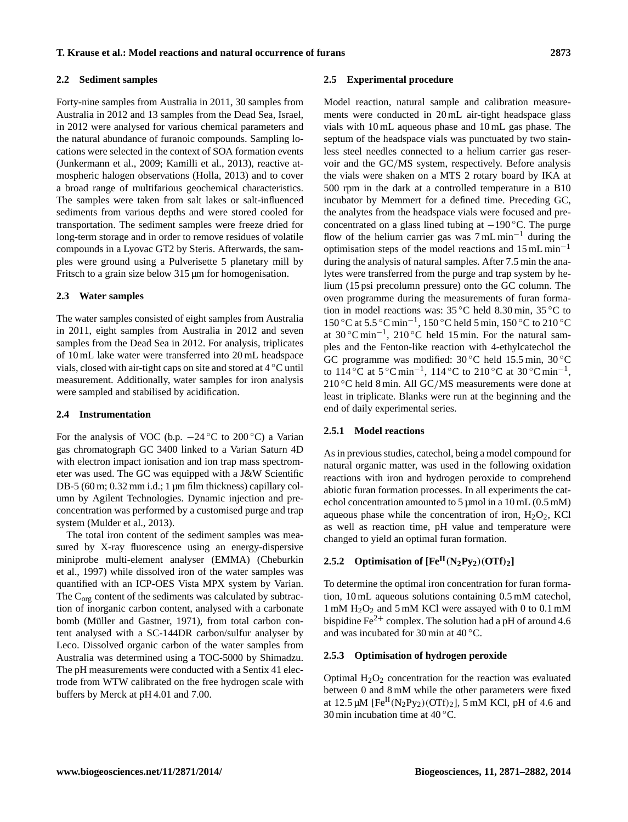#### **2.2 Sediment samples**

Forty-nine samples from Australia in 2011, 30 samples from Australia in 2012 and 13 samples from the Dead Sea, Israel, in 2012 were analysed for various chemical parameters and the natural abundance of furanoic compounds. Sampling locations were selected in the context of SOA formation events (Junkermann et al., 2009; Kamilli et al., 2013), reactive atmospheric halogen observations (Holla, 2013) and to cover a broad range of multifarious geochemical characteristics. The samples were taken from salt lakes or salt-influenced sediments from various depths and were stored cooled for transportation. The sediment samples were freeze dried for long-term storage and in order to remove residues of volatile compounds in a Lyovac GT2 by Steris. Afterwards, the samples were ground using a Pulverisette 5 planetary mill by Fritsch to a grain size below 315  $\mu$ m for homogenisation.

## **2.3 Water samples**

The water samples consisted of eight samples from Australia in 2011, eight samples from Australia in 2012 and seven samples from the Dead Sea in 2012. For analysis, triplicates of 10 mL lake water were transferred into 20 mL headspace vials, closed with air-tight caps on site and stored at 4 ◦C until measurement. Additionally, water samples for iron analysis were sampled and stabilised by acidification.

#### **2.4 Instrumentation**

For the analysis of VOC (b.p.  $-24\degree C$  to 200 °C) a Varian gas chromatograph GC 3400 linked to a Varian Saturn 4D with electron impact ionisation and ion trap mass spectrometer was used. The GC was equipped with a J&W Scientific DB-5 (60 m; 0.32 mm i.d.; 1 µm film thickness) capillary column by Agilent Technologies. Dynamic injection and preconcentration was performed by a customised purge and trap system (Mulder et al., 2013).

The total iron content of the sediment samples was measured by X-ray fluorescence using an energy-dispersive miniprobe multi-element analyser (EMMA) (Cheburkin et al., 1997) while dissolved iron of the water samples was quantified with an ICP-OES Vista MPX system by Varian. The  $C_{org}$  content of the sediments was calculated by subtraction of inorganic carbon content, analysed with a carbonate bomb (Müller and Gastner, 1971), from total carbon content analysed with a SC-144DR carbon/sulfur analyser by Leco. Dissolved organic carbon of the water samples from Australia was determined using a TOC-5000 by Shimadzu. The pH measurements were conducted with a Sentix 41 electrode from WTW calibrated on the free hydrogen scale with buffers by Merck at pH 4.01 and 7.00.

#### **2.5 Experimental procedure**

Model reaction, natural sample and calibration measurements were conducted in 20 mL air-tight headspace glass vials with 10 mL aqueous phase and 10 mL gas phase. The septum of the headspace vials was punctuated by two stainless steel needles connected to a helium carrier gas reservoir and the GC/MS system, respectively. Before analysis the vials were shaken on a MTS 2 rotary board by IKA at 500 rpm in the dark at a controlled temperature in a B10 incubator by Memmert for a defined time. Preceding GC, the analytes from the headspace vials were focused and preconcentrated on a glass lined tubing at  $-190$  °C. The purge flow of the helium carrier gas was  $7 \text{ mL min}^{-1}$  during the optimisation steps of the model reactions and  $15 \text{ mL min}^{-1}$ during the analysis of natural samples. After 7.5 min the analytes were transferred from the purge and trap system by helium (15 psi precolumn pressure) onto the GC column. The oven programme during the measurements of furan formation in model reactions was: 35 ◦C held 8.30 min, 35 ◦C to 150 ◦C at 5.5 ◦C min−<sup>1</sup> , 150 ◦C held 5 min, 150 ◦C to 210 ◦C at 30 ◦C min−<sup>1</sup> , 210 ◦C held 15 min. For the natural samples and the Fenton-like reaction with 4-ethylcatechol the GC programme was modified:  $30^{\circ}$ C held  $15.5$  min,  $30^{\circ}$ C to 114 °C at  $5^{\circ}$ C min<sup>-1</sup>, 114 °C to 210 °C at 30 °C min<sup>-1</sup>,  $210 °C$  held 8 min. All GC/MS measurements were done at least in triplicate. Blanks were run at the beginning and the end of daily experimental series.

#### **2.5.1 Model reactions**

As in previous studies, catechol, being a model compound for natural organic matter, was used in the following oxidation reactions with iron and hydrogen peroxide to comprehend abiotic furan formation processes. In all experiments the catechol concentration amounted to  $5 \mu$ mol in a  $10 \text{ mL}$  (0.5 mM) aqueous phase while the concentration of iron,  $H_2O_2$ , KCl as well as reaction time, pH value and temperature were changed to yield an optimal furan formation.

# **2.5.2** Optimisation of  $[Fe^{II}(N_2Py_2)(OTI)_2]$

To determine the optimal iron concentration for furan formation, 10 mL aqueous solutions containing 0.5 mM catechol,  $1 \text{ mM } H_2O_2$  and  $5 \text{ mM } KCl$  were assayed with 0 to 0.1 mM bispidine  $Fe^{2+}$  complex. The solution had a pH of around 4.6 and was incubated for 30 min at  $40^{\circ}$ C.

#### **2.5.3 Optimisation of hydrogen peroxide**

Optimal  $H_2O_2$  concentration for the reaction was evaluated between 0 and 8 mM while the other parameters were fixed at  $12.5 \mu M$  [Fe<sup>II</sup>(N<sub>2</sub>Py<sub>2</sub>)(OTf)<sub>2</sub>], 5 mM KCl, pH of 4.6 and 30 min incubation time at  $40^{\circ}$ C.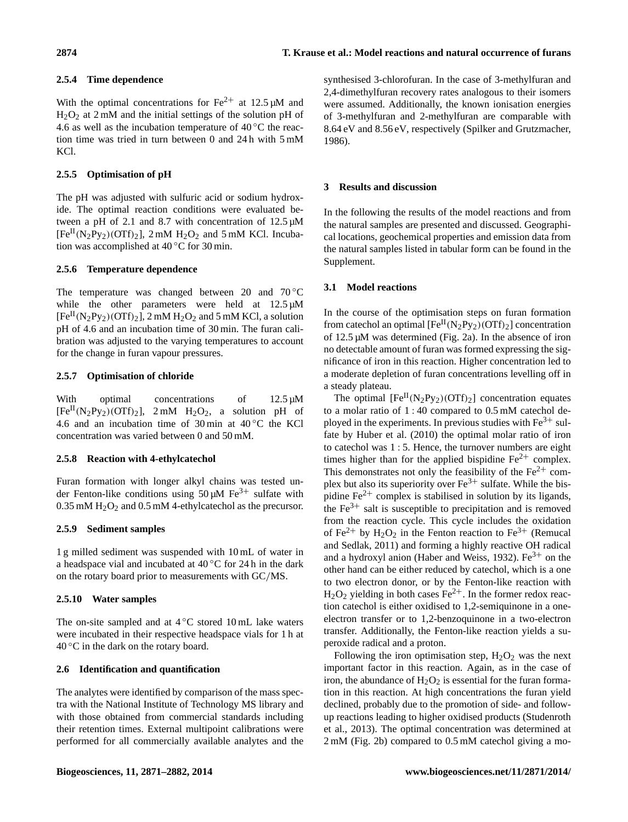## **2.5.4 Time dependence**

With the optimal concentrations for  $Fe^{2+}$  at 12.5 µM and  $H_2O_2$  at 2 mM and the initial settings of the solution pH of 4.6 as well as the incubation temperature of  $40^{\circ}$ C the reaction time was tried in turn between 0 and 24 h with 5 mM KCl.

# **2.5.5 Optimisation of pH**

The pH was adjusted with sulfuric acid or sodium hydroxide. The optimal reaction conditions were evaluated between a pH of 2.1 and 8.7 with concentration of 12.5 µM  $[Fe^{II}(N_2Py_2)(OTf)_2]$ , 2 mM  $H_2O_2$  and 5 mM KCl. Incubation was accomplished at 40 ◦C for 30 min.

## **2.5.6 Temperature dependence**

The temperature was changed between 20 and  $70^{\circ}$ C while the other parameters were held at  $12.5 \mu M$  $[Fe^{II}(N_2P_{V_2})(OTf)_2]$ , 2 mM  $H_2O_2$  and 5 mM KCl, a solution pH of 4.6 and an incubation time of 30 min. The furan calibration was adjusted to the varying temperatures to account for the change in furan vapour pressures.

## **2.5.7 Optimisation of chloride**

With optimal concentrations of 12.5  $\mu$ M  $[Fe^{II}(N_2Py_2)(OTT)_2]$ , 2 mM  $H_2O_2$ , a solution pH of 4.6 and an incubation time of 30 min at  $40\,^{\circ}\text{C}$  the KCl concentration was varied between 0 and 50 mM.

# **2.5.8 Reaction with 4-ethylcatechol**

Furan formation with longer alkyl chains was tested under Fenton-like conditions using  $50 \mu M$  Fe<sup>3+</sup> sulfate with  $0.35$  mM  $H<sub>2</sub>O<sub>2</sub>$  and  $0.5$  mM 4-ethylcatechol as the precursor.

# **2.5.9 Sediment samples**

1 g milled sediment was suspended with 10 mL of water in a headspace vial and incubated at  $40^{\circ}$ C for 24 h in the dark on the rotary board prior to measurements with GC/MS.

# **2.5.10 Water samples**

The on-site sampled and at  $4^{\circ}$ C stored 10 mL lake waters were incubated in their respective headspace vials for 1 h at  $40^{\circ}$ C in the dark on the rotary board.

# **2.6 Identification and quantification**

The analytes were identified by comparison of the mass spectra with the National Institute of Technology MS library and with those obtained from commercial standards including their retention times. External multipoint calibrations were performed for all commercially available analytes and the synthesised 3-chlorofuran. In the case of 3-methylfuran and 2,4-dimethylfuran recovery rates analogous to their isomers were assumed. Additionally, the known ionisation energies of 3-methylfuran and 2-methylfuran are comparable with 8.64 eV and 8.56 eV, respectively (Spilker and Grutzmacher, 1986).

# **3 Results and discussion**

In the following the results of the model reactions and from the natural samples are presented and discussed. Geographical locations, geochemical properties and emission data from the natural samples listed in tabular form can be found in the Supplement.

## **3.1 Model reactions**

In the course of the optimisation steps on furan formation from catechol an optimal  $[Fe^{II}(N_2Py_2)(OTF)_2]$  concentration of 12.5 µM was determined (Fig. 2a). In the absence of iron no detectable amount of furan was formed expressing the significance of iron in this reaction. Higher concentration led to a moderate depletion of furan concentrations levelling off in a steady plateau.

The optimal  $[Fe^{II}(N_2Py_2)(OTf)_2]$  concentration equates to a molar ratio of 1 : 40 compared to 0.5 mM catechol deployed in the experiments. In previous studies with  $Fe<sup>3+</sup>$  sulfate by Huber et al. (2010) the optimal molar ratio of iron to catechol was 1 : 5. Hence, the turnover numbers are eight times higher than for the applied bispidine  $Fe^{2+}$  complex. This demonstrates not only the feasibility of the  $Fe<sup>2+</sup>$  complex but also its superiority over  $Fe^{3+}$  sulfate. While the bispidine  $Fe^{2+}$  complex is stabilised in solution by its ligands, the  $Fe<sup>3+</sup>$  salt is susceptible to precipitation and is removed from the reaction cycle. This cycle includes the oxidation of Fe<sup>2+</sup> by H<sub>2</sub>O<sub>2</sub> in the Fenton reaction to Fe<sup>3+</sup> (Remucal and Sedlak, 2011) and forming a highly reactive OH radical and a hydroxyl anion (Haber and Weiss, 1932).  $Fe<sup>3+</sup>$  on the other hand can be either reduced by catechol, which is a one to two electron donor, or by the Fenton-like reaction with  $H_2O_2$  yielding in both cases Fe<sup>2+</sup>. In the former redox reaction catechol is either oxidised to 1,2-semiquinone in a oneelectron transfer or to 1,2-benzoquinone in a two-electron transfer. Additionally, the Fenton-like reaction yields a superoxide radical and a proton.

Following the iron optimisation step,  $H_2O_2$  was the next important factor in this reaction. Again, as in the case of iron, the abundance of  $H_2O_2$  is essential for the furan formation in this reaction. At high concentrations the furan yield declined, probably due to the promotion of side- and followup reactions leading to higher oxidised products (Studenroth et al., 2013). The optimal concentration was determined at 2 mM (Fig. 2b) compared to 0.5 mM catechol giving a mo-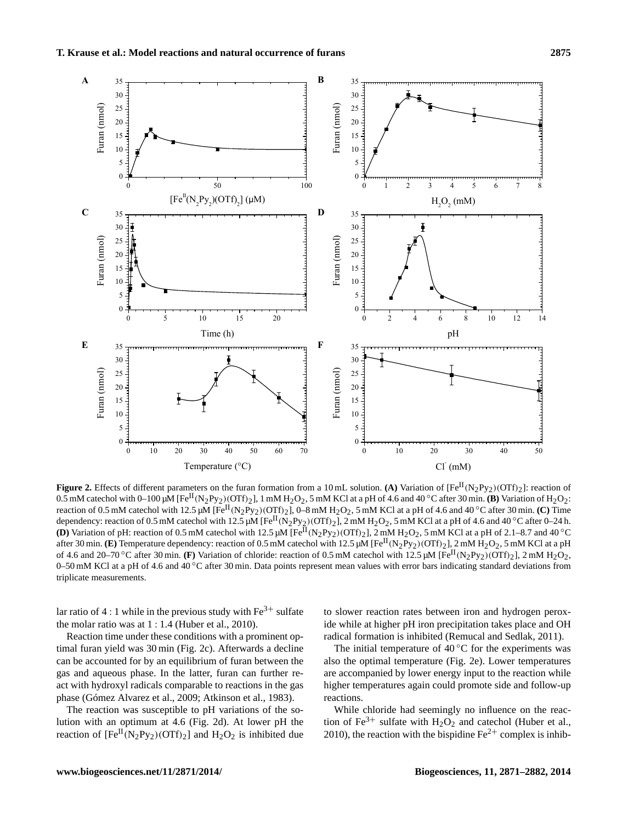

**Figure 2.** Effects of different parameters on the furan formation from a 10 mL solution. **(A)** Variation of  $[Fe^{II}(N_2Py_2)(OTf)_2]$ : reaction of 0.5 mM catechol with 0–100  $\mu$ M [Fe<sup>II</sup>(N<sub>2</sub>Py<sub>2</sub>)(OTf)<sub>2</sub>], 1 mM H<sub>2</sub>O<sub>2</sub>, 5 mM KCl at a pH of 4.6 and 40 °C after 30 min. **(B)** Variation of H<sub>2</sub>O<sub>2</sub>: reaction of 0.5 mM catechol with 12.5  $\mu$ M [Fe<sup>II</sup>(N<sub>2</sub>Py<sub>2</sub>)(OTf)<sub>2</sub>], 0–8 mM H<sub>2</sub>O<sub>2</sub>, 5 mM KCl at a pH of 4.6 and 40 °C after 30 min. **(C)** Time dependency: reaction of 0.5 mM catechol with 12.5 µM [Fe<sup>II</sup>(N<sub>2</sub>Py<sub>2</sub>)(OTf)<sub>2</sub>], 2 mM H<sub>2</sub>O<sub>2</sub>, 5 mM KCl at a pH of 4.6 and 40 °C after 0–24 h. **(D)** Variation of pH: reaction of 0.5 mM catechol with 12.5  $\mu$ M [Fe<sup>II</sup>(N<sub>2</sub>Py<sub>2</sub>)(OTf)<sub>2</sub>], 2 mM H<sub>2</sub>O<sub>2</sub>, 5 mM KCl at a pH of 2.1–8.7 and 40 °C after 30 min. **(E)** Temperature dependency: reaction of 0.5 mM catechol with 12.5  $\mu$ M [Fe<sup>II</sup>(N<sub>2</sub>Py<sub>2</sub>)(OTf)<sub>2</sub>], 2 mM H<sub>2</sub>O<sub>2</sub>, 5 mM KCl at a pH of 4.6 and 20–70 °C after 30 min. **(F)** Variation of chloride: reaction of 0.5 mM catechol with 12.5  $\mu$ M [Fe<sup>II</sup>(N<sub>2</sub>Py<sub>2</sub>)(OTf)<sub>2</sub>], 2 mM H<sub>2</sub>O<sub>2</sub>, 0–50 mM KCl at a pH of 4.6 and 40 ◦C after 30 min. Data points represent mean values with error bars indicating standard deviations from triplicate measurements.

lar ratio of 4 : 1 while in the previous study with  $Fe^{3+}$  sulfate the molar ratio was at 1 : 1.4 (Huber et al., 2010).

Reaction time under these conditions with a prominent optimal furan yield was 30 min (Fig. 2c). Afterwards a decline can be accounted for by an equilibrium of furan between the gas and aqueous phase. In the latter, furan can further react with hydroxyl radicals comparable to reactions in the gas phase (Gómez Alvarez et al., 2009; Atkinson et al., 1983).

The reaction was susceptible to pH variations of the solution with an optimum at 4.6 (Fig. 2d). At lower pH the reaction of  $[Fe^{II}(N_2Py_2)(OTf)_2]$  and  $H_2O_2$  is inhibited due

to slower reaction rates between iron and hydrogen peroxide while at higher pH iron precipitation takes place and OH radical formation is inhibited (Remucal and Sedlak, 2011).

The initial temperature of  $40^{\circ}$ C for the experiments was also the optimal temperature (Fig. 2e). Lower temperatures are accompanied by lower energy input to the reaction while higher temperatures again could promote side and follow-up reactions.

While chloride had seemingly no influence on the reaction of Fe<sup>3+</sup> sulfate with  $H_2O_2$  and catechol (Huber et al., 2010), the reaction with the bispidine  $Fe^{2+}$  complex is inhib-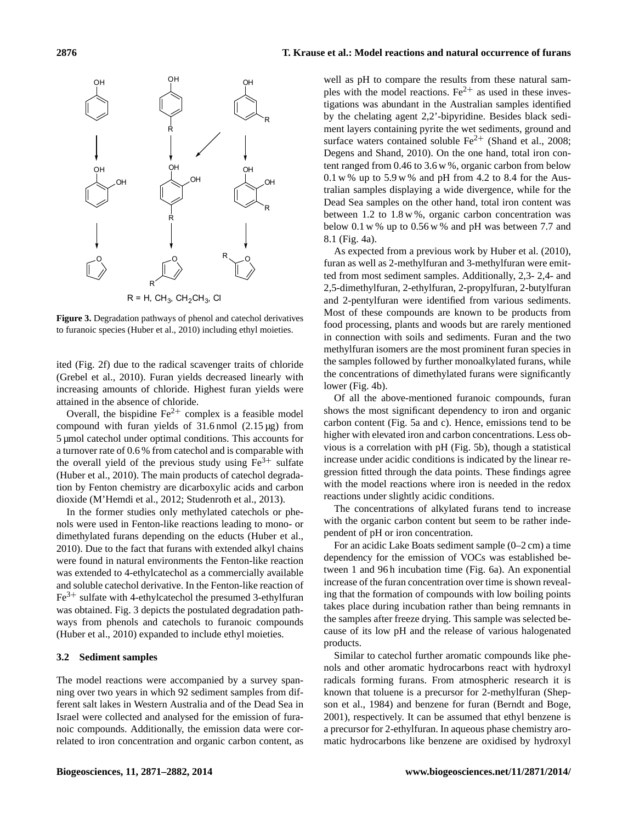

**Figure 3.** Degradation pathways of phenol and catechol derivatives to furanoic species (Huber et al., 2010) including ethyl moieties.

ited (Fig. 2f) due to the radical scavenger traits of chloride (Grebel et al., 2010). Furan yields decreased linearly with increasing amounts of chloride. Highest furan yields were attained in the absence of chloride.

Overall, the bispidine  $Fe^{2+}$  complex is a feasible model compound with furan yields of 31.6 nmol (2.15 µg) from 5 µmol catechol under optimal conditions. This accounts for a turnover rate of 0.6 % from catechol and is comparable with the overall yield of the previous study using  $Fe<sup>3+</sup>$  sulfate (Huber et al., 2010). The main products of catechol degradation by Fenton chemistry are dicarboxylic acids and carbon dioxide (M'Hemdi et al., 2012; Studenroth et al., 2013).

In the former studies only methylated catechols or phenols were used in Fenton-like reactions leading to mono- or dimethylated furans depending on the educts (Huber et al., 2010). Due to the fact that furans with extended alkyl chains were found in natural environments the Fenton-like reaction was extended to 4-ethylcatechol as a commercially available and soluble catechol derivative. In the Fenton-like reaction of  $Fe<sup>3+</sup>$  sulfate with 4-ethylcatechol the presumed 3-ethylfuran was obtained. Fig. 3 depicts the postulated degradation pathways from phenols and catechols to furanoic compounds (Huber et al., 2010) expanded to include ethyl moieties.

#### **3.2 Sediment samples**

The model reactions were accompanied by a survey spanning over two years in which 92 sediment samples from different salt lakes in Western Australia and of the Dead Sea in Israel were collected and analysed for the emission of furanoic compounds. Additionally, the emission data were correlated to iron concentration and organic carbon content, as well as pH to compare the results from these natural samples with the model reactions.  $Fe^{2+}$  as used in these investigations was abundant in the Australian samples identified by the chelating agent 2,2'-bipyridine. Besides black sediment layers containing pyrite the wet sediments, ground and surface waters contained soluble  $Fe^{2+}$  (Shand et al., 2008; Degens and Shand, 2010). On the one hand, total iron content ranged from 0.46 to 3.6 w %, organic carbon from below  $0.1 \text{ w}$ % up to  $5.9 \text{ w}$ % and pH from 4.2 to 8.4 for the Australian samples displaying a wide divergence, while for the Dead Sea samples on the other hand, total iron content was between 1.2 to 1.8 w %, organic carbon concentration was below 0.1 w % up to 0.56 w % and pH was between 7.7 and 8.1 (Fig. 4a).

As expected from a previous work by Huber et al. (2010), furan as well as 2-methylfuran and 3-methylfuran were emitted from most sediment samples. Additionally, 2,3- 2,4- and 2,5-dimethylfuran, 2-ethylfuran, 2-propylfuran, 2-butylfuran and 2-pentylfuran were identified from various sediments. Most of these compounds are known to be products from food processing, plants and woods but are rarely mentioned in connection with soils and sediments. Furan and the two methylfuran isomers are the most prominent furan species in the samples followed by further monoalkylated furans, while the concentrations of dimethylated furans were significantly lower (Fig. 4b).

Of all the above-mentioned furanoic compounds, furan shows the most significant dependency to iron and organic carbon content (Fig. 5a and c). Hence, emissions tend to be higher with elevated iron and carbon concentrations. Less obvious is a correlation with pH (Fig. 5b), though a statistical increase under acidic conditions is indicated by the linear regression fitted through the data points. These findings agree with the model reactions where iron is needed in the redox reactions under slightly acidic conditions.

The concentrations of alkylated furans tend to increase with the organic carbon content but seem to be rather independent of pH or iron concentration.

For an acidic Lake Boats sediment sample (0–2 cm) a time dependency for the emission of VOCs was established between 1 and 96 h incubation time (Fig. 6a). An exponential increase of the furan concentration over time is shown revealing that the formation of compounds with low boiling points takes place during incubation rather than being remnants in the samples after freeze drying. This sample was selected because of its low pH and the release of various halogenated products.

Similar to catechol further aromatic compounds like phenols and other aromatic hydrocarbons react with hydroxyl radicals forming furans. From atmospheric research it is known that toluene is a precursor for 2-methylfuran (Shepson et al., 1984) and benzene for furan (Berndt and Boge, 2001), respectively. It can be assumed that ethyl benzene is a precursor for 2-ethylfuran. In aqueous phase chemistry aromatic hydrocarbons like benzene are oxidised by hydroxyl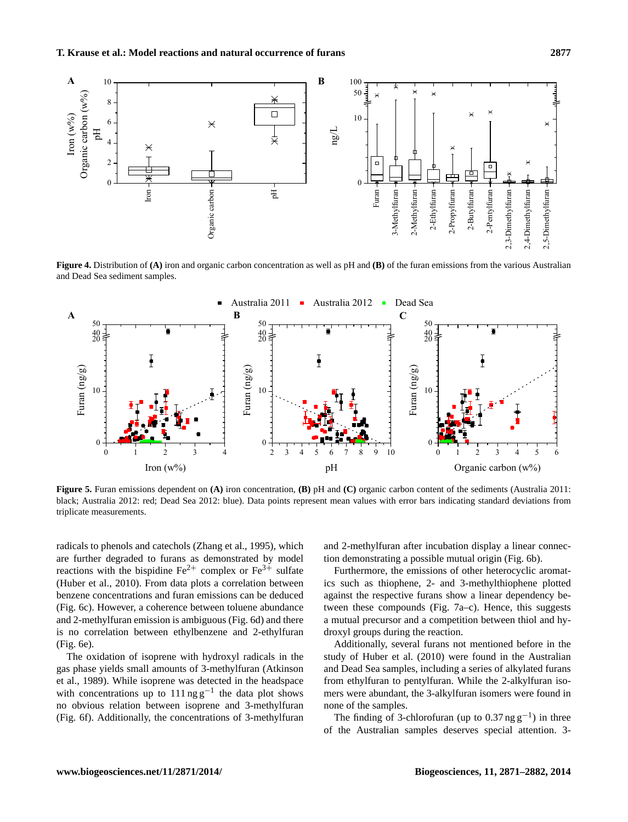

**Figure 4.** Distribution of **(A)** iron and organic carbon concentration as well as pH and **(B)** of the furan emissions from the various Australian and Dead Sea sediment samples.



**Figure 5.** Furan emissions dependent on **(A)** iron concentration, **(B)** pH and **(C)** organic carbon content of the sediments (Australia 2011: black; Australia 2012: red; Dead Sea 2012: blue). Data points represent mean values with error bars indicating standard deviations from triplicate measurements.

radicals to phenols and catechols (Zhang et al., 1995), which are further degraded to furans as demonstrated by model reactions with the bispidine  $Fe^{2+}$  complex or  $Fe^{3+}$  sulfate (Huber et al., 2010). From data plots a correlation between benzene concentrations and furan emissions can be deduced (Fig. 6c). However, a coherence between toluene abundance and 2-methylfuran emission is ambiguous (Fig. 6d) and there is no correlation between ethylbenzene and 2-ethylfuran (Fig. 6e).

The oxidation of isoprene with hydroxyl radicals in the gas phase yields small amounts of 3-methylfuran (Atkinson et al., 1989). While isoprene was detected in the headspace with concentrations up to  $111$  ng g<sup>-1</sup> the data plot shows no obvious relation between isoprene and 3-methylfuran (Fig. 6f). Additionally, the concentrations of 3-methylfuran

and 2-methylfuran after incubation display a linear connection demonstrating a possible mutual origin (Fig. 6b).

Furthermore, the emissions of other heterocyclic aromatics such as thiophene, 2- and 3-methylthiophene plotted against the respective furans show a linear dependency between these compounds (Fig. 7a–c). Hence, this suggests a mutual precursor and a competition between thiol and hydroxyl groups during the reaction.

Additionally, several furans not mentioned before in the study of Huber et al. (2010) were found in the Australian and Dead Sea samples, including a series of alkylated furans from ethylfuran to pentylfuran. While the 2-alkylfuran isomers were abundant, the 3-alkylfuran isomers were found in none of the samples.

The finding of 3-chlorofuran (up to  $0.37$  ng  $g^{-1}$ ) in three of the Australian samples deserves special attention. 3-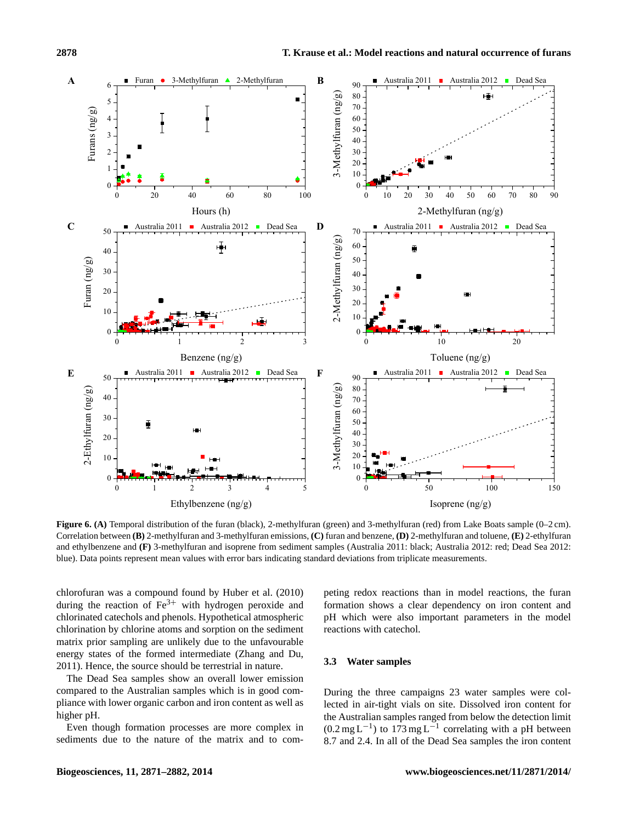

**Figure 6. (A)** Temporal distribution of the furan (black), 2-methylfuran (green) and 3-methylfuran (red) from Lake Boats sample (0–2 cm). Correlation between **(B)** 2-methylfuran and 3-methylfuran emissions, **(C)** furan and benzene, **(D)** 2-methylfuran and toluene, **(E)** 2-ethylfuran and ethylbenzene and **(F)** 3-methylfuran and isoprene from sediment samples (Australia 2011: black; Australia 2012: red; Dead Sea 2012: blue). Data points represent mean values with error bars indicating standard deviations from triplicate measurements.

chlorofuran was a compound found by Huber et al. (2010) during the reaction of  $Fe^{3+}$  with hydrogen peroxide and chlorinated catechols and phenols. Hypothetical atmospheric chlorination by chlorine atoms and sorption on the sediment matrix prior sampling are unlikely due to the unfavourable energy states of the formed intermediate (Zhang and Du, 2011). Hence, the source should be terrestrial in nature.

The Dead Sea samples show an overall lower emission compared to the Australian samples which is in good compliance with lower organic carbon and iron content as well as higher pH.

Even though formation processes are more complex in sediments due to the nature of the matrix and to competing redox reactions than in model reactions, the furan formation shows a clear dependency on iron content and pH which were also important parameters in the model reactions with catechol.

## **3.3 Water samples**

During the three campaigns 23 water samples were collected in air-tight vials on site. Dissolved iron content for the Australian samples ranged from below the detection limit  $(0.2 \text{ mg L}^{-1})$  to 173 mg L<sup>-1</sup> correlating with a pH between 8.7 and 2.4. In all of the Dead Sea samples the iron content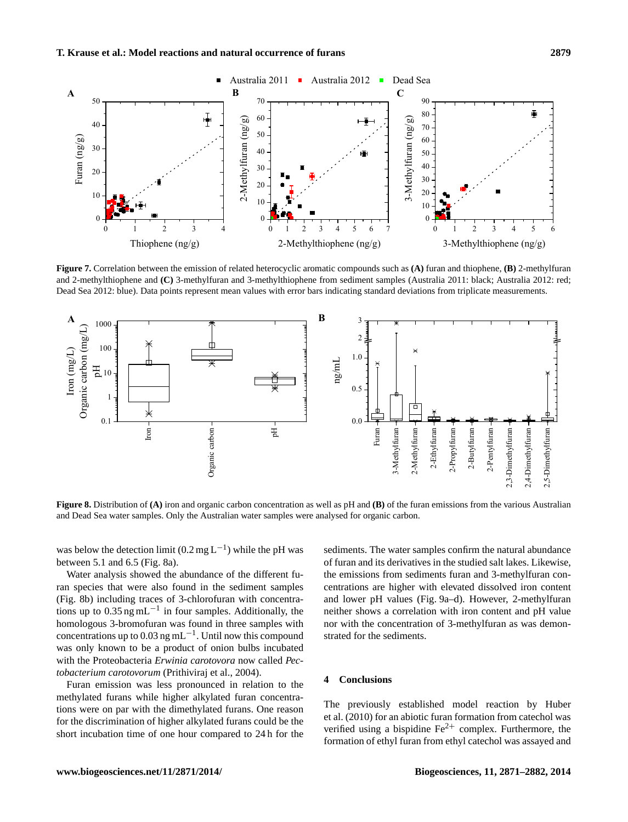

**Figure 7.** Correlation between the emission of related heterocyclic aromatic compounds such as **(A)** furan and thiophene, **(B)** 2-methylfuran and 2-methylthiophene and **(C)** 3-methylfuran and 3-methylthiophene from sediment samples (Australia 2011: black; Australia 2012: red; Dead Sea 2012: blue). Data points represent mean values with error bars indicating standard deviations from triplicate measurements.



**Figure 8.** Distribution of **(A)** iron and organic carbon concentration as well as pH and **(B)** of the furan emissions from the various Australian and Dead Sea water samples. Only the Australian water samples were analysed for organic carbon.

was below the detection limit (0.2 mg L<sup>-1</sup>) while the pH was between 5.1 and 6.5 (Fig. 8a).

Water analysis showed the abundance of the different furan species that were also found in the sediment samples (Fig. 8b) including traces of 3-chlorofuran with concentrations up to  $0.35$  ng mL<sup>-1</sup> in four samples. Additionally, the homologous 3-bromofuran was found in three samples with concentrations up to 0.03 ng mL<sup>-1</sup>. Until now this compound was only known to be a product of onion bulbs incubated with the Proteobacteria *Erwinia carotovora* now called *Pectobacterium carotovorum* (Prithiviraj et al., 2004).

Furan emission was less pronounced in relation to the methylated furans while higher alkylated furan concentrations were on par with the dimethylated furans. One reason for the discrimination of higher alkylated furans could be the short incubation time of one hour compared to 24 h for the sediments. The water samples confirm the natural abundance of furan and its derivatives in the studied salt lakes. Likewise, the emissions from sediments furan and 3-methylfuran concentrations are higher with elevated dissolved iron content and lower pH values (Fig. 9a–d). However, 2-methylfuran neither shows a correlation with iron content and pH value nor with the concentration of 3-methylfuran as was demonstrated for the sediments.

#### **4 Conclusions**

The previously established model reaction by Huber et al. (2010) for an abiotic furan formation from catechol was verified using a bispidine  $Fe^{2+}$  complex. Furthermore, the formation of ethyl furan from ethyl catechol was assayed and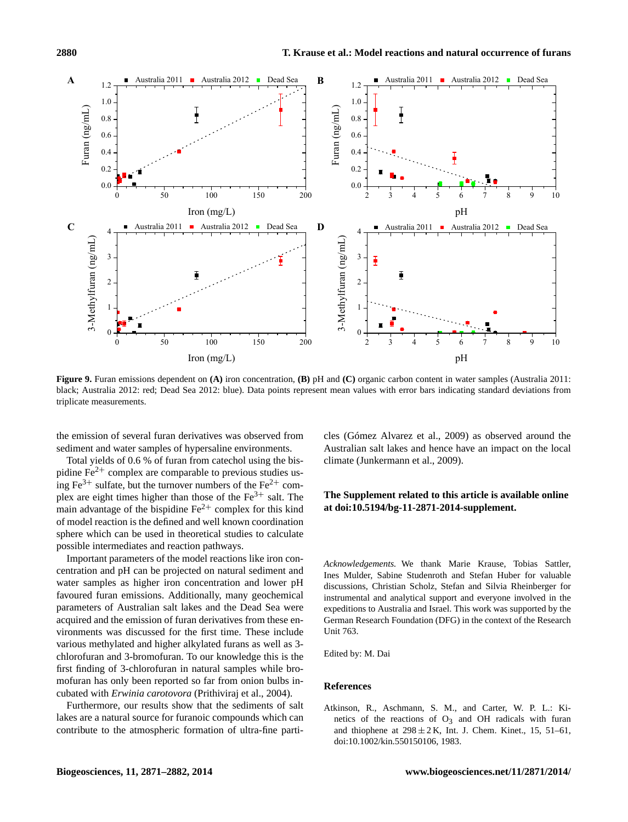

**Figure 9.** Furan emissions dependent on **(A)** iron concentration, **(B)** pH and **(C)** organic carbon content in water samples (Australia 2011: black; Australia 2012: red; Dead Sea 2012: blue). Data points represent mean values with error bars indicating standard deviations from triplicate measurements.

the emission of several furan derivatives was observed from sediment and water samples of hypersaline environments.

Total yields of 0.6 % of furan from catechol using the bispidine  $Fe<sup>2+</sup>$  complex are comparable to previous studies using  $Fe^{3+}$  sulfate, but the turnover numbers of the  $Fe^{2+}$  complex are eight times higher than those of the  $Fe<sup>3+</sup>$  salt. The main advantage of the bispidine  $Fe^{2+}$  complex for this kind of model reaction is the defined and well known coordination sphere which can be used in theoretical studies to calculate possible intermediates and reaction pathways.

Important parameters of the model reactions like iron concentration and pH can be projected on natural sediment and water samples as higher iron concentration and lower pH favoured furan emissions. Additionally, many geochemical parameters of Australian salt lakes and the Dead Sea were acquired and the emission of furan derivatives from these environments was discussed for the first time. These include various methylated and higher alkylated furans as well as 3 chlorofuran and 3-bromofuran. To our knowledge this is the first finding of 3-chlorofuran in natural samples while bromofuran has only been reported so far from onion bulbs incubated with *Erwinia carotovora* (Prithiviraj et al., 2004).

Furthermore, our results show that the sediments of salt lakes are a natural source for furanoic compounds which can contribute to the atmospheric formation of ultra-fine particles (Gómez Alvarez et al., 2009) as observed around the Australian salt lakes and hence have an impact on the local climate (Junkermann et al., 2009).

## **The Supplement related to this article is available online at [doi:10.5194/bg-11-2871-2014-supplement.](http://dx.doi.org/10.5194/bg-11-2871-2014-supplement)**

*Acknowledgements.* We thank Marie Krause, Tobias Sattler, Ines Mulder, Sabine Studenroth and Stefan Huber for valuable discussions, Christian Scholz, Stefan and Silvia Rheinberger for instrumental and analytical support and everyone involved in the expeditions to Australia and Israel. This work was supported by the German Research Foundation (DFG) in the context of the Research Unit 763.

Edited by: M. Dai

### **References**

Atkinson, R., Aschmann, S. M., and Carter, W. P. L.: Kinetics of the reactions of  $O_3$  and OH radicals with furan and thiophene at  $298 \pm 2$  K, Int. J. Chem. Kinet., 15, 51–61, doi[:10.1002/kin.550150106,](http://dx.doi.org/10.1002/kin.550150106) 1983.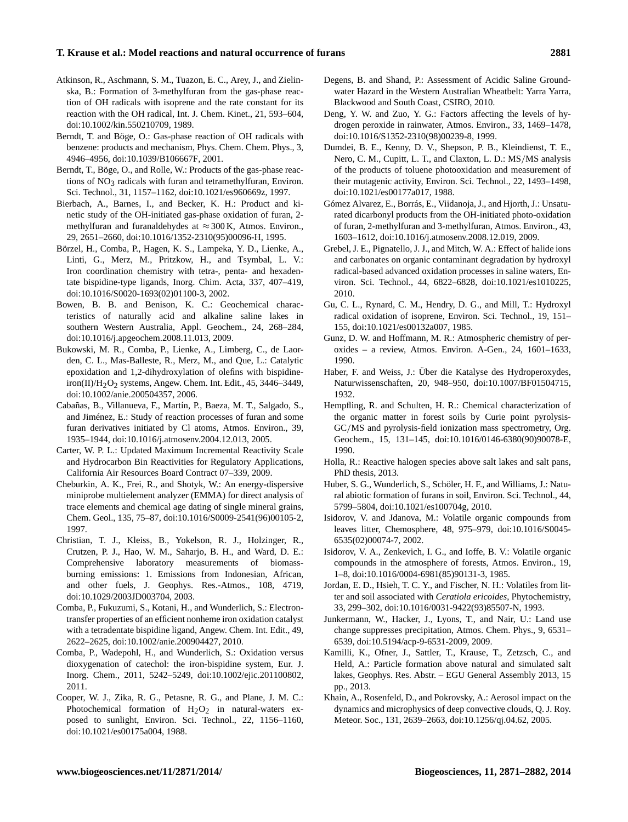#### **T. Krause et al.: Model reactions and natural occurrence of furans 2881**

- Atkinson, R., Aschmann, S. M., Tuazon, E. C., Arey, J., and Zielinska, B.: Formation of 3-methylfuran from the gas-phase reaction of OH radicals with isoprene and the rate constant for its reaction with the OH radical, Int. J. Chem. Kinet., 21, 593–604, doi[:10.1002/kin.550210709,](http://dx.doi.org/10.1002/kin.550210709) 1989.
- Berndt, T. and Böge, O.: Gas-phase reaction of OH radicals with benzene: products and mechanism, Phys. Chem. Chem. Phys., 3, 4946–4956, doi[:10.1039/B106667F,](http://dx.doi.org/10.1039/B106667F) 2001.
- Berndt, T., Böge, O., and Rolle, W.: Products of the gas-phase reactions of  $NO<sub>3</sub>$  radicals with furan and tetramethylfuran, Environ. Sci. Technol., 31, 1157–1162, doi[:10.1021/es960669z,](http://dx.doi.org/10.1021/es960669z) 1997.
- Bierbach, A., Barnes, I., and Becker, K. H.: Product and kinetic study of the OH-initiated gas-phase oxidation of furan, 2 methylfuran and furanaldehydes at  $\approx 300$  K, Atmos. Environ. 29, 2651–2660, doi[:10.1016/1352-2310\(95\)00096-H,](http://dx.doi.org/10.1016/1352-2310(95)00096-H) 1995.
- Börzel, H., Comba, P., Hagen, K. S., Lampeka, Y. D., Lienke, A., Linti, G., Merz, M., Pritzkow, H., and Tsymbal, L. V.: Iron coordination chemistry with tetra-, penta- and hexadentate bispidine-type ligands, Inorg. Chim. Acta, 337, 407–419, doi[:10.1016/S0020-1693\(02\)01100-3,](http://dx.doi.org/10.1016/S0020-1693(02)01100-3) 2002.
- Bowen, B. B. and Benison, K. C.: Geochemical characteristics of naturally acid and alkaline saline lakes in southern Western Australia, Appl. Geochem., 24, 268–284, doi[:10.1016/j.apgeochem.2008.11.013,](http://dx.doi.org/10.1016/j.apgeochem.2008.11.013) 2009.
- Bukowski, M. R., Comba, P., Lienke, A., Limberg, C., de Laorden, C. L., Mas-Balleste, R., Merz, M., and Que, L.: Catalytic epoxidation and 1,2-dihydroxylation of olefins with bispidineiron(II)/ $H_2O_2$  systems, Angew. Chem. Int. Edit., 45, 3446–3449, doi[:10.1002/anie.200504357,](http://dx.doi.org/10.1002/anie.200504357) 2006.
- Cabañas, B., Villanueva, F., Martín, P., Baeza, M. T., Salgado, S., and Jiménez, E.: Study of reaction processes of furan and some furan derivatives initiated by Cl atoms, Atmos. Environ., 39, 1935–1944, doi[:10.1016/j.atmosenv.2004.12.013,](http://dx.doi.org/10.1016/j.atmosenv.2004.12.013) 2005.
- Carter, W. P. L.: Updated Maximum Incremental Reactivity Scale and Hydrocarbon Bin Reactivities for Regulatory Applications, California Air Resources Board Contract 07–339, 2009.
- Cheburkin, A. K., Frei, R., and Shotyk, W.: An energy-dispersive miniprobe multielement analyzer (EMMA) for direct analysis of trace elements and chemical age dating of single mineral grains, Chem. Geol., 135, 75–87, doi[:10.1016/S0009-2541\(96\)00105-2,](http://dx.doi.org/10.1016/S0009-2541(96)00105-2) 1997.
- Christian, T. J., Kleiss, B., Yokelson, R. J., Holzinger, R., Crutzen, P. J., Hao, W. M., Saharjo, B. H., and Ward, D. E.: Comprehensive laboratory measurements of biomassburning emissions: 1. Emissions from Indonesian, African, and other fuels, J. Geophys. Res.-Atmos., 108, 4719, doi[:10.1029/2003JD003704,](http://dx.doi.org/10.1029/2003JD003704) 2003.
- Comba, P., Fukuzumi, S., Kotani, H., and Wunderlich, S.: Electrontransfer properties of an efficient nonheme iron oxidation catalyst with a tetradentate bispidine ligand, Angew. Chem. Int. Edit., 49, 2622–2625, doi[:10.1002/anie.200904427,](http://dx.doi.org/10.1002/anie.200904427) 2010.
- Comba, P., Wadepohl, H., and Wunderlich, S.: Oxidation versus dioxygenation of catechol: the iron-bispidine system, Eur. J. Inorg. Chem., 2011, 5242–5249, doi[:10.1002/ejic.201100802,](http://dx.doi.org/10.1002/ejic.201100802) 2011.
- Cooper, W. J., Zika, R. G., Petasne, R. G., and Plane, J. M. C.: Photochemical formation of  $H_2O_2$  in natural-waters exposed to sunlight, Environ. Sci. Technol., 22, 1156–1160, doi[:10.1021/es00175a004,](http://dx.doi.org/10.1021/es00175a004) 1988.
- Degens, B. and Shand, P.: Assessment of Acidic Saline Groundwater Hazard in the Western Australian Wheatbelt: Yarra Yarra, Blackwood and South Coast, CSIRO, 2010.
- Deng, Y. W. and Zuo, Y. G.: Factors affecting the levels of hydrogen peroxide in rainwater, Atmos. Environ., 33, 1469–1478, doi[:10.1016/S1352-2310\(98\)00239-8,](http://dx.doi.org/10.1016/S1352-2310(98)00239-8) 1999.
- Dumdei, B. E., Kenny, D. V., Shepson, P. B., Kleindienst, T. E., Nero, C. M., Cupitt, L. T., and Claxton, L. D.: MS/MS analysis of the products of toluene photooxidation and measurement of their mutagenic activity, Environ. Sci. Technol., 22, 1493–1498, doi[:10.1021/es00177a017,](http://dx.doi.org/10.1021/es00177a017) 1988.
- Gómez Alvarez, E., Borrás, E., Viidanoja, J., and Hjorth, J.: Unsaturated dicarbonyl products from the OH-initiated photo-oxidation of furan, 2-methylfuran and 3-methylfuran, Atmos. Environ., 43, 1603–1612, doi[:10.1016/j.atmosenv.2008.12.019,](http://dx.doi.org/10.1016/j.atmosenv.2008.12.019) 2009.
- Grebel, J. E., Pignatello, J. J., and Mitch, W. A.: Effect of halide ions and carbonates on organic contaminant degradation by hydroxyl radical-based advanced oxidation processes in saline waters, Environ. Sci. Technol., 44, 6822–6828, doi[:10.1021/es1010225,](http://dx.doi.org/10.1021/es1010225) 2010.
- Gu, C. L., Rynard, C. M., Hendry, D. G., and Mill, T.: Hydroxyl radical oxidation of isoprene, Environ. Sci. Technol., 19, 151– 155, doi[:10.1021/es00132a007,](http://dx.doi.org/10.1021/es00132a007) 1985.
- Gunz, D. W. and Hoffmann, M. R.: Atmospheric chemistry of peroxides – a review, Atmos. Environ. A-Gen., 24, 1601–1633, 1990.
- Haber, F. and Weiss, J.: Über die Katalyse des Hydroperoxydes, Naturwissenschaften, 20, 948–950, doi[:10.1007/BF01504715,](http://dx.doi.org/10.1007/BF01504715) 1932.
- Hempfling, R. and Schulten, H. R.: Chemical characterization of the organic matter in forest soils by Curie point pyrolysis-GC/MS and pyrolysis-field ionization mass spectrometry, Org. Geochem., 15, 131–145, doi[:10.1016/0146-6380\(90\)90078-E,](http://dx.doi.org/10.1016/0146-6380(90)90078-E) 1990.
- Holla, R.: Reactive halogen species above salt lakes and salt pans, PhD thesis, 2013.
- Huber, S. G., Wunderlich, S., Schöler, H. F., and Williams, J.: Natural abiotic formation of furans in soil, Environ. Sci. Technol., 44, 5799–5804, doi[:10.1021/es100704g,](http://dx.doi.org/10.1021/es100704g) 2010.
- Isidorov, V. and Jdanova, M.: Volatile organic compounds from leaves litter, Chemosphere, 48, 975–979, doi[:10.1016/S0045-](http://dx.doi.org/10.1016/S0045-6535(02)00074-7) [6535\(02\)00074-7,](http://dx.doi.org/10.1016/S0045-6535(02)00074-7) 2002.
- Isidorov, V. A., Zenkevich, I. G., and Ioffe, B. V.: Volatile organic compounds in the atmosphere of forests, Atmos. Environ., 19, 1–8, doi[:10.1016/0004-6981\(85\)90131-3,](http://dx.doi.org/10.1016/0004-6981(85)90131-3) 1985.
- Jordan, E. D., Hsieh, T. C. Y., and Fischer, N. H.: Volatiles from litter and soil associated with *Ceratiola ericoides*, Phytochemistry, 33, 299–302, doi[:10.1016/0031-9422\(93\)85507-N,](http://dx.doi.org/10.1016/0031-9422(93)85507-N) 1993.
- Junkermann, W., Hacker, J., Lyons, T., and Nair, U.: Land use change suppresses precipitation, Atmos. Chem. Phys., 9, 6531– 6539, doi[:10.5194/acp-9-6531-2009,](http://dx.doi.org/10.5194/acp-9-6531-2009) 2009.
- Kamilli, K., Ofner, J., Sattler, T., Krause, T., Zetzsch, C., and Held, A.: Particle formation above natural and simulated salt lakes, Geophys. Res. Abstr. – EGU General Assembly 2013, 15 pp., 2013.
- Khain, A., Rosenfeld, D., and Pokrovsky, A.: Aerosol impact on the dynamics and microphysics of deep convective clouds, Q. J. Roy. Meteor. Soc., 131, 2639–2663, doi[:10.1256/qj.04.62,](http://dx.doi.org/10.1256/qj.04.62) 2005.